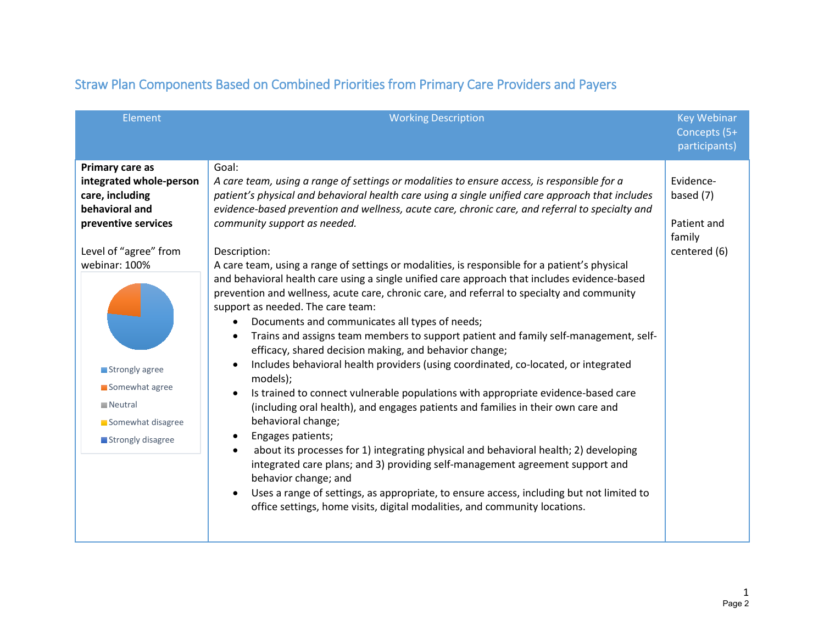| Element                                                                                                                                                                                                                                                  | <b>Working Description</b>                                                                                                                                                                                                                                                                                                                                                                                                                                                                                                                                                                                                                                                                                                                                                                                                                                                                                                                                                                                                                                                                                                                                                                                                                                                                                                                                                                                                                                                                                                                                                                                                                  | <b>Key Webinar</b><br>Concepts (5+<br>participants)             |
|----------------------------------------------------------------------------------------------------------------------------------------------------------------------------------------------------------------------------------------------------------|---------------------------------------------------------------------------------------------------------------------------------------------------------------------------------------------------------------------------------------------------------------------------------------------------------------------------------------------------------------------------------------------------------------------------------------------------------------------------------------------------------------------------------------------------------------------------------------------------------------------------------------------------------------------------------------------------------------------------------------------------------------------------------------------------------------------------------------------------------------------------------------------------------------------------------------------------------------------------------------------------------------------------------------------------------------------------------------------------------------------------------------------------------------------------------------------------------------------------------------------------------------------------------------------------------------------------------------------------------------------------------------------------------------------------------------------------------------------------------------------------------------------------------------------------------------------------------------------------------------------------------------------|-----------------------------------------------------------------|
| Primary care as<br>integrated whole-person<br>care, including<br>behavioral and<br>preventive services<br>Level of "agree" from<br>webinar: 100%<br>Strongly agree<br>Somewhat agree<br>$\blacksquare$ Neutral<br>Somewhat disagree<br>Strongly disagree | Goal:<br>A care team, using a range of settings or modalities to ensure access, is responsible for a<br>patient's physical and behavioral health care using a single unified care approach that includes<br>evidence-based prevention and wellness, acute care, chronic care, and referral to specialty and<br>community support as needed.<br>Description:<br>A care team, using a range of settings or modalities, is responsible for a patient's physical<br>and behavioral health care using a single unified care approach that includes evidence-based<br>prevention and wellness, acute care, chronic care, and referral to specialty and community<br>support as needed. The care team:<br>Documents and communicates all types of needs;<br>Trains and assigns team members to support patient and family self-management, self-<br>efficacy, shared decision making, and behavior change;<br>Includes behavioral health providers (using coordinated, co-located, or integrated<br>models);<br>Is trained to connect vulnerable populations with appropriate evidence-based care<br>$\bullet$<br>(including oral health), and engages patients and families in their own care and<br>behavioral change;<br>Engages patients;<br>$\bullet$<br>about its processes for 1) integrating physical and behavioral health; 2) developing<br>$\bullet$<br>integrated care plans; and 3) providing self-management agreement support and<br>behavior change; and<br>Uses a range of settings, as appropriate, to ensure access, including but not limited to<br>office settings, home visits, digital modalities, and community locations. | Evidence-<br>based (7)<br>Patient and<br>family<br>centered (6) |

# Straw Plan Components Based on Combined Priorities from Primary Care Providers and Payers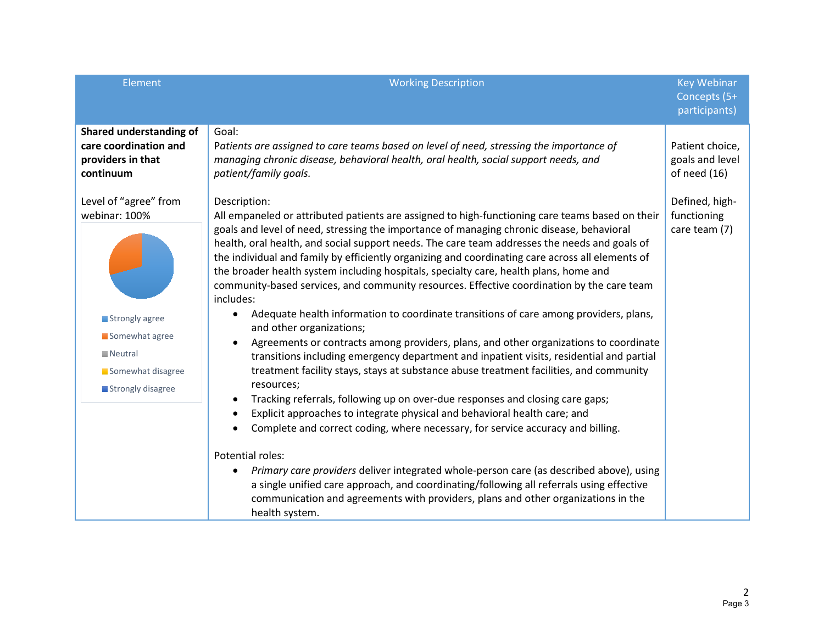| Element                                  | <b>Working Description</b>                                                                                                                                                                 | <b>Key Webinar</b>            |
|------------------------------------------|--------------------------------------------------------------------------------------------------------------------------------------------------------------------------------------------|-------------------------------|
|                                          |                                                                                                                                                                                            | Concepts (5+<br>participants) |
| Shared understanding of                  | Goal:                                                                                                                                                                                      |                               |
| care coordination and                    | Patients are assigned to care teams based on level of need, stressing the importance of                                                                                                    | Patient choice,               |
| providers in that                        | managing chronic disease, behavioral health, oral health, social support needs, and                                                                                                        | goals and level               |
| continuum                                | patient/family goals.                                                                                                                                                                      | of need $(16)$                |
| Level of "agree" from                    | Description:                                                                                                                                                                               | Defined, high-                |
| webinar: 100%                            | All empaneled or attributed patients are assigned to high-functioning care teams based on their                                                                                            | functioning                   |
|                                          | goals and level of need, stressing the importance of managing chronic disease, behavioral<br>health, oral health, and social support needs. The care team addresses the needs and goals of | care team (7)                 |
|                                          | the individual and family by efficiently organizing and coordinating care across all elements of                                                                                           |                               |
|                                          | the broader health system including hospitals, specialty care, health plans, home and                                                                                                      |                               |
|                                          | community-based services, and community resources. Effective coordination by the care team<br>includes:                                                                                    |                               |
|                                          | Adequate health information to coordinate transitions of care among providers, plans,                                                                                                      |                               |
| Strongly agree                           | and other organizations;                                                                                                                                                                   |                               |
| Somewhat agree<br>$\blacksquare$ Neutral | Agreements or contracts among providers, plans, and other organizations to coordinate                                                                                                      |                               |
| Somewhat disagree                        | transitions including emergency department and inpatient visits, residential and partial<br>treatment facility stays, stays at substance abuse treatment facilities, and community         |                               |
| Strongly disagree                        | resources;                                                                                                                                                                                 |                               |
|                                          | Tracking referrals, following up on over-due responses and closing care gaps;<br>$\bullet$                                                                                                 |                               |
|                                          | Explicit approaches to integrate physical and behavioral health care; and                                                                                                                  |                               |
|                                          | Complete and correct coding, where necessary, for service accuracy and billing.                                                                                                            |                               |
|                                          | Potential roles:                                                                                                                                                                           |                               |
|                                          | Primary care providers deliver integrated whole-person care (as described above), using<br>$\bullet$                                                                                       |                               |
|                                          | a single unified care approach, and coordinating/following all referrals using effective<br>communication and agreements with providers, plans and other organizations in the              |                               |
|                                          | health system.                                                                                                                                                                             |                               |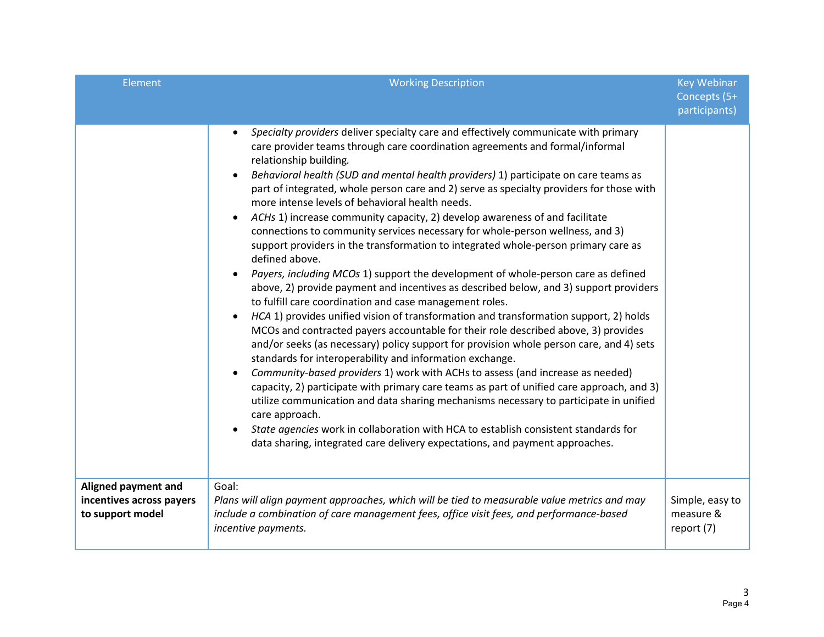| <b>Element</b>                                                      | <b>Working Description</b>                                                                                                                                                                                                                                                                                                                                                                                                                                                                                                                                                                                                                                                                                                                                                                                                                                                                                                                                                                                                                                                                                                                                                                                                                                                                                                                                                                                                                                                                                                                                                                                                                                                                                                                                                                                                   | <b>Key Webinar</b><br>Concepts (5+<br>participants) |
|---------------------------------------------------------------------|------------------------------------------------------------------------------------------------------------------------------------------------------------------------------------------------------------------------------------------------------------------------------------------------------------------------------------------------------------------------------------------------------------------------------------------------------------------------------------------------------------------------------------------------------------------------------------------------------------------------------------------------------------------------------------------------------------------------------------------------------------------------------------------------------------------------------------------------------------------------------------------------------------------------------------------------------------------------------------------------------------------------------------------------------------------------------------------------------------------------------------------------------------------------------------------------------------------------------------------------------------------------------------------------------------------------------------------------------------------------------------------------------------------------------------------------------------------------------------------------------------------------------------------------------------------------------------------------------------------------------------------------------------------------------------------------------------------------------------------------------------------------------------------------------------------------------|-----------------------------------------------------|
|                                                                     | Specialty providers deliver specialty care and effectively communicate with primary<br>$\bullet$<br>care provider teams through care coordination agreements and formal/informal<br>relationship building.<br>Behavioral health (SUD and mental health providers) 1) participate on care teams as<br>$\bullet$<br>part of integrated, whole person care and 2) serve as specialty providers for those with<br>more intense levels of behavioral health needs.<br>ACHs 1) increase community capacity, 2) develop awareness of and facilitate<br>connections to community services necessary for whole-person wellness, and 3)<br>support providers in the transformation to integrated whole-person primary care as<br>defined above.<br>Payers, including MCOs 1) support the development of whole-person care as defined<br>$\bullet$<br>above, 2) provide payment and incentives as described below, and 3) support providers<br>to fulfill care coordination and case management roles.<br>HCA 1) provides unified vision of transformation and transformation support, 2) holds<br>$\bullet$<br>MCOs and contracted payers accountable for their role described above, 3) provides<br>and/or seeks (as necessary) policy support for provision whole person care, and 4) sets<br>standards for interoperability and information exchange.<br>Community-based providers 1) work with ACHs to assess (and increase as needed)<br>$\bullet$<br>capacity, 2) participate with primary care teams as part of unified care approach, and 3)<br>utilize communication and data sharing mechanisms necessary to participate in unified<br>care approach.<br>State agencies work in collaboration with HCA to establish consistent standards for<br>data sharing, integrated care delivery expectations, and payment approaches. |                                                     |
| Aligned payment and<br>incentives across payers<br>to support model | Goal:<br>Plans will align payment approaches, which will be tied to measurable value metrics and may<br>include a combination of care management fees, office visit fees, and performance-based<br>incentive payments.                                                                                                                                                                                                                                                                                                                                                                                                                                                                                                                                                                                                                                                                                                                                                                                                                                                                                                                                                                                                                                                                                                                                                                                                                                                                                                                                                                                                                                                                                                                                                                                                       | Simple, easy to<br>measure &<br>report (7)          |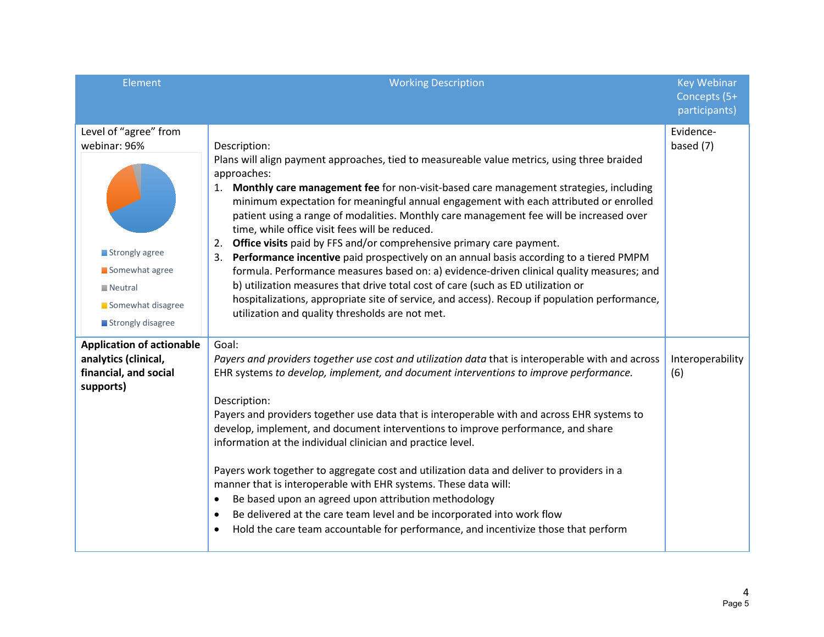| Element                                                                                                                                       | <b>Working Description</b>                                                                                                                                                                                                                                                                                                                                                                                                                                                                                                                                                                                                                                                                                                                                                                                                                                                                                                                                                | <b>Key Webinar</b><br>Concepts (5+<br>participants) |
|-----------------------------------------------------------------------------------------------------------------------------------------------|---------------------------------------------------------------------------------------------------------------------------------------------------------------------------------------------------------------------------------------------------------------------------------------------------------------------------------------------------------------------------------------------------------------------------------------------------------------------------------------------------------------------------------------------------------------------------------------------------------------------------------------------------------------------------------------------------------------------------------------------------------------------------------------------------------------------------------------------------------------------------------------------------------------------------------------------------------------------------|-----------------------------------------------------|
| Level of "agree" from<br>webinar: 96%<br>Strongly agree<br>Somewhat agree<br>$\blacksquare$ Neutral<br>Somewhat disagree<br>Strongly disagree | Description:<br>Plans will align payment approaches, tied to measureable value metrics, using three braided<br>approaches:<br>1. Monthly care management fee for non-visit-based care management strategies, including<br>minimum expectation for meaningful annual engagement with each attributed or enrolled<br>patient using a range of modalities. Monthly care management fee will be increased over<br>time, while office visit fees will be reduced.<br>2. Office visits paid by FFS and/or comprehensive primary care payment.<br>3. Performance incentive paid prospectively on an annual basis according to a tiered PMPM<br>formula. Performance measures based on: a) evidence-driven clinical quality measures; and<br>b) utilization measures that drive total cost of care (such as ED utilization or<br>hospitalizations, appropriate site of service, and access). Recoup if population performance,<br>utilization and quality thresholds are not met. | Evidence-<br>based (7)                              |
| <b>Application of actionable</b><br>analytics (clinical,<br>financial, and social<br>supports)                                                | Goal:<br>Payers and providers together use cost and utilization data that is interoperable with and across<br>EHR systems to develop, implement, and document interventions to improve performance.<br>Description:<br>Payers and providers together use data that is interoperable with and across EHR systems to<br>develop, implement, and document interventions to improve performance, and share<br>information at the individual clinician and practice level.<br>Payers work together to aggregate cost and utilization data and deliver to providers in a<br>manner that is interoperable with EHR systems. These data will:<br>Be based upon an agreed upon attribution methodology<br>$\bullet$<br>Be delivered at the care team level and be incorporated into work flow<br>$\bullet$<br>Hold the care team accountable for performance, and incentivize those that perform                                                                                   | Interoperability<br>(6)                             |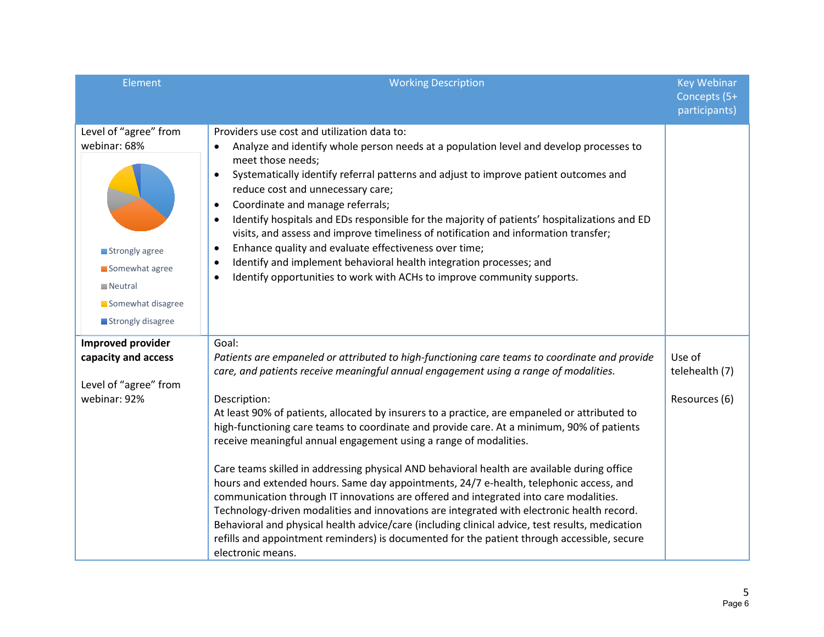| Element                                                                                                                                       | <b>Working Description</b>                                                                                                                                                                                                                                                                                                                                                                                                                                                                                                                                                                                                                                                                                                                                                                                                                                                                                                                                                                                                                                                               | <b>Key Webinar</b><br>Concepts (5+<br>participants) |
|-----------------------------------------------------------------------------------------------------------------------------------------------|------------------------------------------------------------------------------------------------------------------------------------------------------------------------------------------------------------------------------------------------------------------------------------------------------------------------------------------------------------------------------------------------------------------------------------------------------------------------------------------------------------------------------------------------------------------------------------------------------------------------------------------------------------------------------------------------------------------------------------------------------------------------------------------------------------------------------------------------------------------------------------------------------------------------------------------------------------------------------------------------------------------------------------------------------------------------------------------|-----------------------------------------------------|
| Level of "agree" from<br>webinar: 68%<br>Strongly agree<br>Somewhat agree<br>$\blacksquare$ Neutral<br>Somewhat disagree<br>Strongly disagree | Providers use cost and utilization data to:<br>Analyze and identify whole person needs at a population level and develop processes to<br>$\bullet$<br>meet those needs;<br>Systematically identify referral patterns and adjust to improve patient outcomes and<br>$\bullet$<br>reduce cost and unnecessary care;<br>Coordinate and manage referrals;<br>$\bullet$<br>Identify hospitals and EDs responsible for the majority of patients' hospitalizations and ED<br>$\bullet$<br>visits, and assess and improve timeliness of notification and information transfer;<br>Enhance quality and evaluate effectiveness over time;<br>$\bullet$<br>Identify and implement behavioral health integration processes; and<br>$\bullet$<br>Identify opportunities to work with ACHs to improve community supports.<br>$\bullet$                                                                                                                                                                                                                                                                 |                                                     |
| <b>Improved provider</b><br>capacity and access<br>Level of "agree" from<br>webinar: 92%                                                      | Goal:<br>Patients are empaneled or attributed to high-functioning care teams to coordinate and provide<br>care, and patients receive meaningful annual engagement using a range of modalities.<br>Description:<br>At least 90% of patients, allocated by insurers to a practice, are empaneled or attributed to<br>high-functioning care teams to coordinate and provide care. At a minimum, 90% of patients<br>receive meaningful annual engagement using a range of modalities.<br>Care teams skilled in addressing physical AND behavioral health are available during office<br>hours and extended hours. Same day appointments, 24/7 e-health, telephonic access, and<br>communication through IT innovations are offered and integrated into care modalities.<br>Technology-driven modalities and innovations are integrated with electronic health record.<br>Behavioral and physical health advice/care (including clinical advice, test results, medication<br>refills and appointment reminders) is documented for the patient through accessible, secure<br>electronic means. | Use of<br>telehealth (7)<br>Resources (6)           |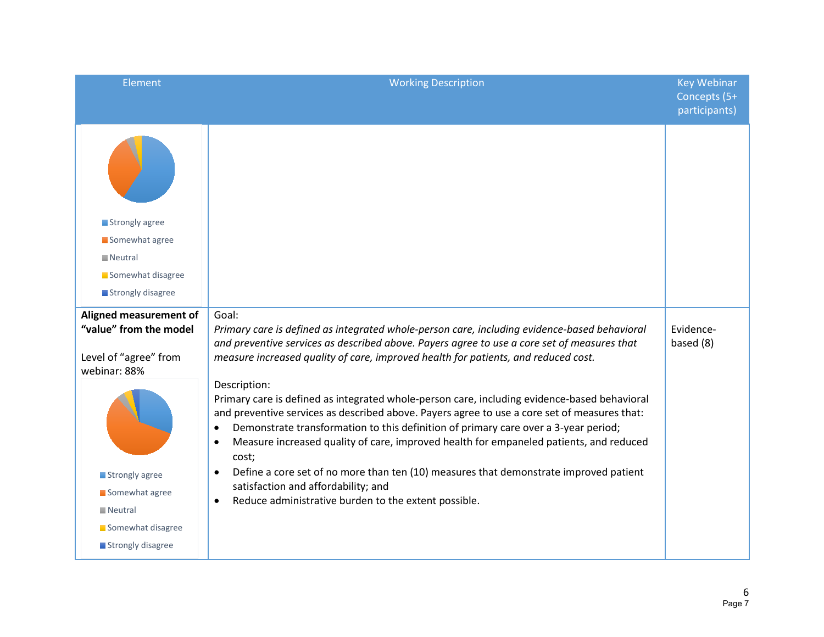| Element                                                                                                                                                                                           | <b>Working Description</b>                                                                                                                                                                                                                                                                                                                                                                                                                                                                                                                                                                                                                                                                                                                                                                                                                                                                                                                       | <b>Key Webinar</b><br>Concepts (5+<br>participants) |
|---------------------------------------------------------------------------------------------------------------------------------------------------------------------------------------------------|--------------------------------------------------------------------------------------------------------------------------------------------------------------------------------------------------------------------------------------------------------------------------------------------------------------------------------------------------------------------------------------------------------------------------------------------------------------------------------------------------------------------------------------------------------------------------------------------------------------------------------------------------------------------------------------------------------------------------------------------------------------------------------------------------------------------------------------------------------------------------------------------------------------------------------------------------|-----------------------------------------------------|
| Strongly agree                                                                                                                                                                                    |                                                                                                                                                                                                                                                                                                                                                                                                                                                                                                                                                                                                                                                                                                                                                                                                                                                                                                                                                  |                                                     |
| Somewhat agree                                                                                                                                                                                    |                                                                                                                                                                                                                                                                                                                                                                                                                                                                                                                                                                                                                                                                                                                                                                                                                                                                                                                                                  |                                                     |
| $\blacksquare$ Neutral                                                                                                                                                                            |                                                                                                                                                                                                                                                                                                                                                                                                                                                                                                                                                                                                                                                                                                                                                                                                                                                                                                                                                  |                                                     |
| Somewhat disagree                                                                                                                                                                                 |                                                                                                                                                                                                                                                                                                                                                                                                                                                                                                                                                                                                                                                                                                                                                                                                                                                                                                                                                  |                                                     |
| Strongly disagree                                                                                                                                                                                 |                                                                                                                                                                                                                                                                                                                                                                                                                                                                                                                                                                                                                                                                                                                                                                                                                                                                                                                                                  |                                                     |
| Aligned measurement of<br>"value" from the model<br>Level of "agree" from<br>webinar: 88%<br>Strongly agree<br>Somewhat agree<br>$\blacksquare$ Neutral<br>Somewhat disagree<br>Strongly disagree | Goal:<br>Primary care is defined as integrated whole-person care, including evidence-based behavioral<br>and preventive services as described above. Payers agree to use a core set of measures that<br>measure increased quality of care, improved health for patients, and reduced cost.<br>Description:<br>Primary care is defined as integrated whole-person care, including evidence-based behavioral<br>and preventive services as described above. Payers agree to use a core set of measures that:<br>Demonstrate transformation to this definition of primary care over a 3-year period;<br>$\bullet$<br>Measure increased quality of care, improved health for empaneled patients, and reduced<br>$\bullet$<br>cost;<br>Define a core set of no more than ten (10) measures that demonstrate improved patient<br>$\bullet$<br>satisfaction and affordability; and<br>Reduce administrative burden to the extent possible.<br>$\bullet$ | Evidence-<br>based (8)                              |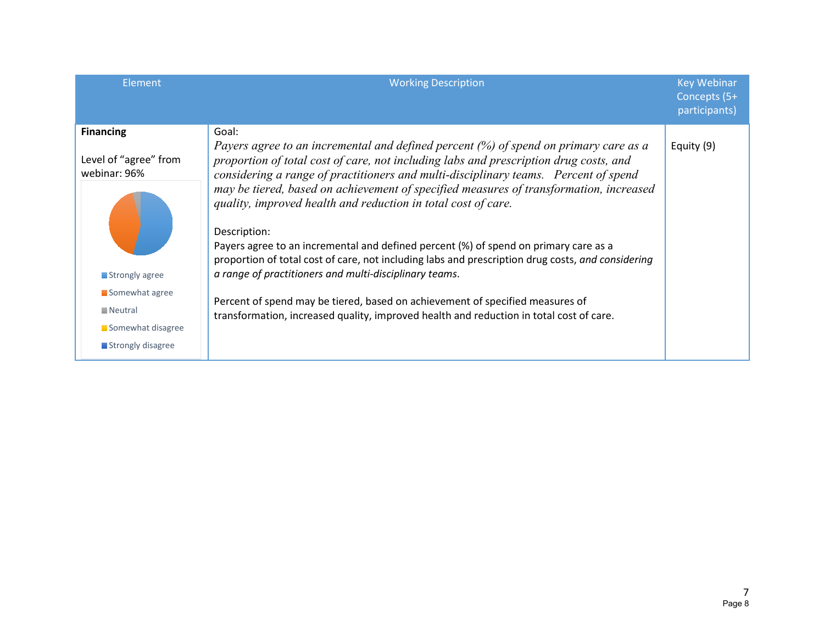| Element                                                                            | <b>Working Description</b>                                                                                                                                                                                                                                                                                                                                                                                                     | <b>Key Webinar</b><br>Concepts (5+<br>participants) |
|------------------------------------------------------------------------------------|--------------------------------------------------------------------------------------------------------------------------------------------------------------------------------------------------------------------------------------------------------------------------------------------------------------------------------------------------------------------------------------------------------------------------------|-----------------------------------------------------|
| <b>Financing</b><br>Level of "agree" from<br>webinar: 96%                          | Goal:<br>Payers agree to an incremental and defined percent $(\%)$ of spend on primary care as a<br>proportion of total cost of care, not including labs and prescription drug costs, and<br>considering a range of practitioners and multi-disciplinary teams. Percent of spend                                                                                                                                               | Equity (9)                                          |
| Strongly agree                                                                     | may be tiered, based on achievement of specified measures of transformation, increased<br>quality, improved health and reduction in total cost of care.<br>Description:<br>Payers agree to an incremental and defined percent (%) of spend on primary care as a<br>proportion of total cost of care, not including labs and prescription drug costs, and considering<br>a range of practitioners and multi-disciplinary teams. |                                                     |
| Somewhat agree<br>$\blacksquare$ Neutral<br>Somewhat disagree<br>Strongly disagree | Percent of spend may be tiered, based on achievement of specified measures of<br>transformation, increased quality, improved health and reduction in total cost of care.                                                                                                                                                                                                                                                       |                                                     |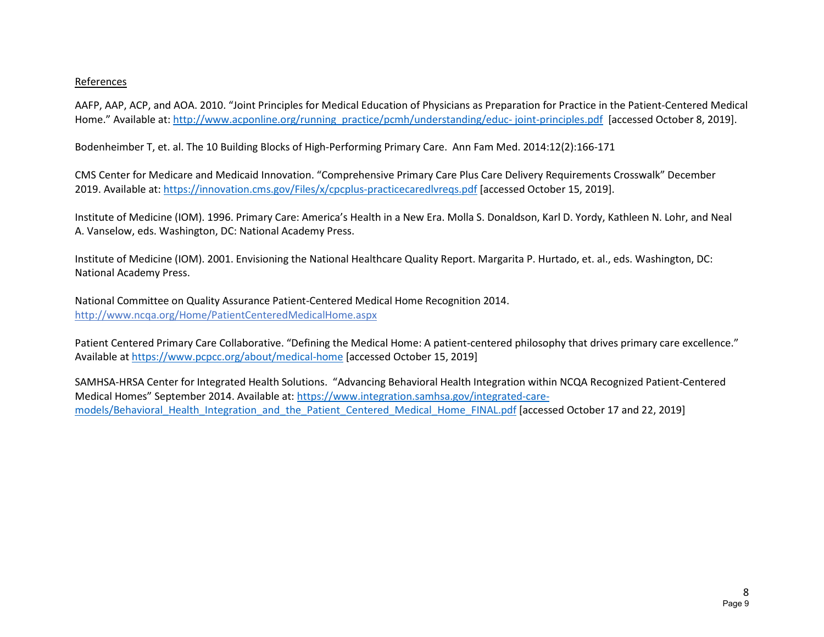#### References

AAFP, AAP, ACP, and AOA. 2010. "Joint Principles for Medical Education of Physicians as Preparation for Practice in the Patient-Centered Medical Home." Available at: [http://www.acponline.org/running\\_practice/pcmh/understanding/educ- joint-principles.pdf](http://www.acponline.org/running_practice/pcmh/understanding/educ-%20joint-principles.pdf) [accessed October 8, 2019].

Bodenheimber T, et. al. The 10 Building Blocks of High-Performing Primary Care. Ann Fam Med. 2014:12(2):166-171

CMS Center for Medicare and Medicaid Innovation. "Comprehensive Primary Care Plus Care Delivery Requirements Crosswalk" December 2019. Available at: <https://innovation.cms.gov/Files/x/cpcplus-practicecaredlvreqs.pdf> [accessed October 15, 2019].

Institute of Medicine (IOM). 1996. Primary Care: America's Health in a New Era. Molla S. Donaldson, Karl D. Yordy, Kathleen N. Lohr, and Neal A. Vanselow, eds. Washington, DC: National Academy Press.

Institute of Medicine (IOM). 2001. Envisioning the National Healthcare Quality Report. Margarita P. Hurtado, et. al., eds. Washington, DC: National Academy Press.

National Committee on Quality Assurance Patient-Centered Medical Home Recognition 2014. <http://www.ncqa.org/Home/PatientCenteredMedicalHome.aspx>

Patient Centered Primary Care Collaborative. "Defining the Medical Home: A patient-centered philosophy that drives primary care excellence." Available at <https://www.pcpcc.org/about/medical-home> [accessed October 15, 2019]

SAMHSA-HRSA Center for Integrated Health Solutions. "Advancing Behavioral Health Integration within NCQA Recognized Patient-Centered Medical Homes" September 2014. Available at: [https://www.integration.samhsa.gov/integrated-care](https://www.integration.samhsa.gov/integrated-care-models/Behavioral_Health_Integration_and_the_Patient_Centered_Medical_Home_FINAL.pdf)[models/Behavioral\\_Health\\_Integration\\_and\\_the\\_Patient\\_Centered\\_Medical\\_Home\\_FINAL.pdf](https://www.integration.samhsa.gov/integrated-care-models/Behavioral_Health_Integration_and_the_Patient_Centered_Medical_Home_FINAL.pdf) [accessed October 17 and 22, 2019]